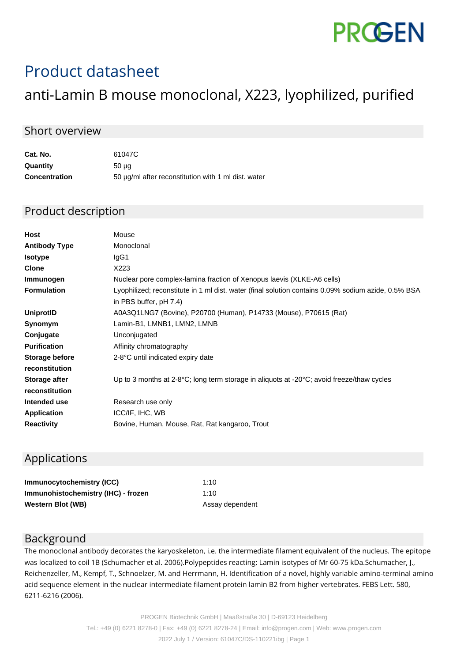# **PROGEN**

## Product datasheet

## anti-Lamin B mouse monoclonal, X223, lyophilized, purified

#### Short overview

| Cat. No.             | 61047C                                              |
|----------------------|-----------------------------------------------------|
| Quantity             | 50 µg                                               |
| <b>Concentration</b> | 50 µg/ml after reconstitution with 1 ml dist. water |

#### Product description

| Host                 | Mouse                                                                                               |
|----------------------|-----------------------------------------------------------------------------------------------------|
| <b>Antibody Type</b> | Monoclonal                                                                                          |
| <b>Isotype</b>       | IgG1                                                                                                |
| <b>Clone</b>         | X223                                                                                                |
| Immunogen            | Nuclear pore complex-lamina fraction of Xenopus laevis (XLKE-A6 cells)                              |
| <b>Formulation</b>   | Lyophilized; reconstitute in 1 ml dist. water (final solution contains 0.09% sodium azide, 0.5% BSA |
|                      | in PBS buffer, pH 7.4)                                                                              |
| UniprotID            | A0A3Q1LNG7 (Bovine), P20700 (Human), P14733 (Mouse), P70615 (Rat)                                   |
| Synomym              | Lamin-B1, LMNB1, LMN2, LMNB                                                                         |
| Conjugate            | Unconjugated                                                                                        |
| <b>Purification</b>  | Affinity chromatography                                                                             |
| Storage before       | 2-8°C until indicated expiry date                                                                   |
| reconstitution       |                                                                                                     |
| Storage after        | Up to 3 months at 2-8°C; long term storage in aliquots at -20°C; avoid freeze/thaw cycles           |
| reconstitution       |                                                                                                     |
| Intended use         | Research use only                                                                                   |
| <b>Application</b>   | ICC/IF, IHC, WB                                                                                     |
| <b>Reactivity</b>    | Bovine, Human, Mouse, Rat, Rat kangaroo, Trout                                                      |
|                      |                                                                                                     |

#### Applications

| Immunocytochemistry (ICC)           | 1:10            |
|-------------------------------------|-----------------|
| Immunohistochemistry (IHC) - frozen | 1:10            |
| <b>Western Blot (WB)</b>            | Assay dependent |

#### Background

The monoclonal antibody decorates the karyoskeleton, i.e. the intermediate filament equivalent of the nucleus. The epitope was localized to coil 1B (Schumacher et al. 2006).Polypeptides reacting: Lamin isotypes of Mr 60-75 kDa.Schumacher, J., Reichenzeller, M., Kempf, T., Schnoelzer, M. and Herrmann, H. Identification of a novel, highly variable amino-terminal amino acid sequence element in the nuclear intermediate filament protein lamin B2 from higher vertebrates. FEBS Lett. 580, 6211-6216 (2006).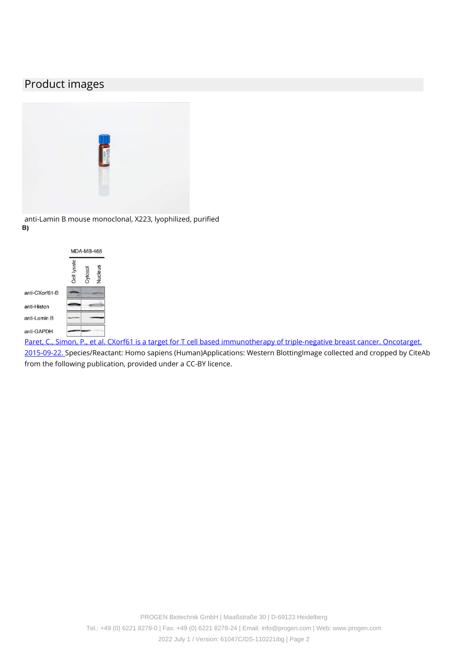### Product images



anti-Lamin B mouse monoclonal, X223, lyophilized, purified B)



Paret, C., Simon, P., et al. CXorf61 is a target for T cell based immunotherapy of triple-negative breast cancer. Oncotarget. 2015-09-22. Species/Reactant: Homo sapiens (Human)Applications: Western BlottingImage collected and cropped by CiteAb from the following publication, provided under a CC-BY licence.